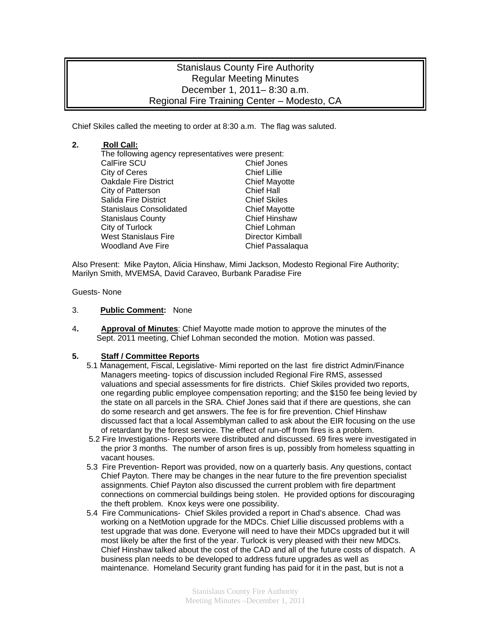# Stanislaus County Fire Authority Regular Meeting Minutes December 1, 2011– 8:30 a.m. Regional Fire Training Center – Modesto, CA

Chief Skiles called the meeting to order at 8:30 a.m. The flag was saluted.

### **2. Roll Call:**

The following agency representatives were present: CalFire SCU Chief Jones City of Ceres<br>
Oakdale Fire District<br>
Chief Mayotte **Oakdale Fire District** City of Patterson Chief Hall Salida Fire District **Chief Skiles** Stanislaus Consolidated Chief Mayotte Stanislaus County **Chief Hinshaw** City of Turlock Chief Lohman West Stanislaus Fire **Director Kimball** Woodland Ave Fire **Chief Passalaqua** 

Also Present: Mike Payton, Alicia Hinshaw, Mimi Jackson, Modesto Regional Fire Authority; Marilyn Smith, MVEMSA, David Caraveo, Burbank Paradise Fire

Guests- None

#### 3. **Public Comment:** None

4**. Approval of Minutes**: Chief Mayotte made motion to approve the minutes of the Sept. 2011 meeting, Chief Lohman seconded the motion. Motion was passed.

#### **5. Staff / Committee Reports**

- 5.1 Management, Fiscal, Legislative- Mimi reported on the last fire district Admin/Finance Managers meeting- topics of discussion included Regional Fire RMS, assessed valuations and special assessments for fire districts. Chief Skiles provided two reports, one regarding public employee compensation reporting; and the \$150 fee being levied by the state on all parcels in the SRA. Chief Jones said that if there are questions, she can do some research and get answers. The fee is for fire prevention. Chief Hinshaw discussed fact that a local Assemblyman called to ask about the EIR focusing on the use of retardant by the forest service. The effect of run-off from fires is a problem.
- 5.2 Fire Investigations- Reports were distributed and discussed. 69 fires were investigated in the prior 3 months. The number of arson fires is up, possibly from homeless squatting in vacant houses.
- 5.3 Fire Prevention- Report was provided, now on a quarterly basis. Any questions, contact Chief Payton. There may be changes in the near future to the fire prevention specialist assignments. Chief Payton also discussed the current problem with fire department connections on commercial buildings being stolen. He provided options for discouraging the theft problem. Knox keys were one possibility.
- 5.4 Fire Communications- Chief Skiles provided a report in Chad's absence. Chad was working on a NetMotion upgrade for the MDCs. Chief Lillie discussed problems with a test upgrade that was done. Everyone will need to have their MDCs upgraded but it will most likely be after the first of the year. Turlock is very pleased with their new MDCs. Chief Hinshaw talked about the cost of the CAD and all of the future costs of dispatch. A business plan needs to be developed to address future upgrades as well as maintenance. Homeland Security grant funding has paid for it in the past, but is not a